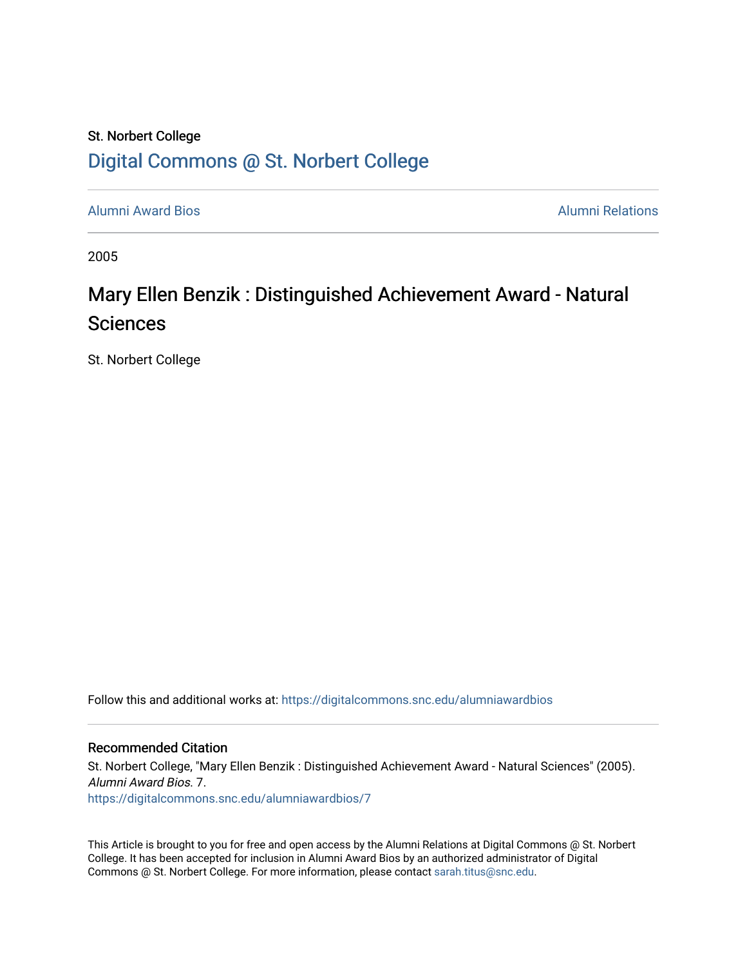## St. Norbert College [Digital Commons @ St. Norbert College](https://digitalcommons.snc.edu/)

[Alumni Award Bios](https://digitalcommons.snc.edu/alumniawardbios) [Alumni Relations](https://digitalcommons.snc.edu/alumni) 

2005

## Mary Ellen Benzik : Distinguished Achievement Award - Natural Sciences

St. Norbert College

Follow this and additional works at: [https://digitalcommons.snc.edu/alumniawardbios](https://digitalcommons.snc.edu/alumniawardbios?utm_source=digitalcommons.snc.edu%2Falumniawardbios%2F7&utm_medium=PDF&utm_campaign=PDFCoverPages)

#### Recommended Citation

St. Norbert College, "Mary Ellen Benzik : Distinguished Achievement Award - Natural Sciences" (2005). Alumni Award Bios. 7. [https://digitalcommons.snc.edu/alumniawardbios/7](https://digitalcommons.snc.edu/alumniawardbios/7?utm_source=digitalcommons.snc.edu%2Falumniawardbios%2F7&utm_medium=PDF&utm_campaign=PDFCoverPages)

This Article is brought to you for free and open access by the Alumni Relations at Digital Commons @ St. Norbert College. It has been accepted for inclusion in Alumni Award Bios by an authorized administrator of Digital Commons @ St. Norbert College. For more information, please contact [sarah.titus@snc.edu.](mailto:sarah.titus@snc.edu)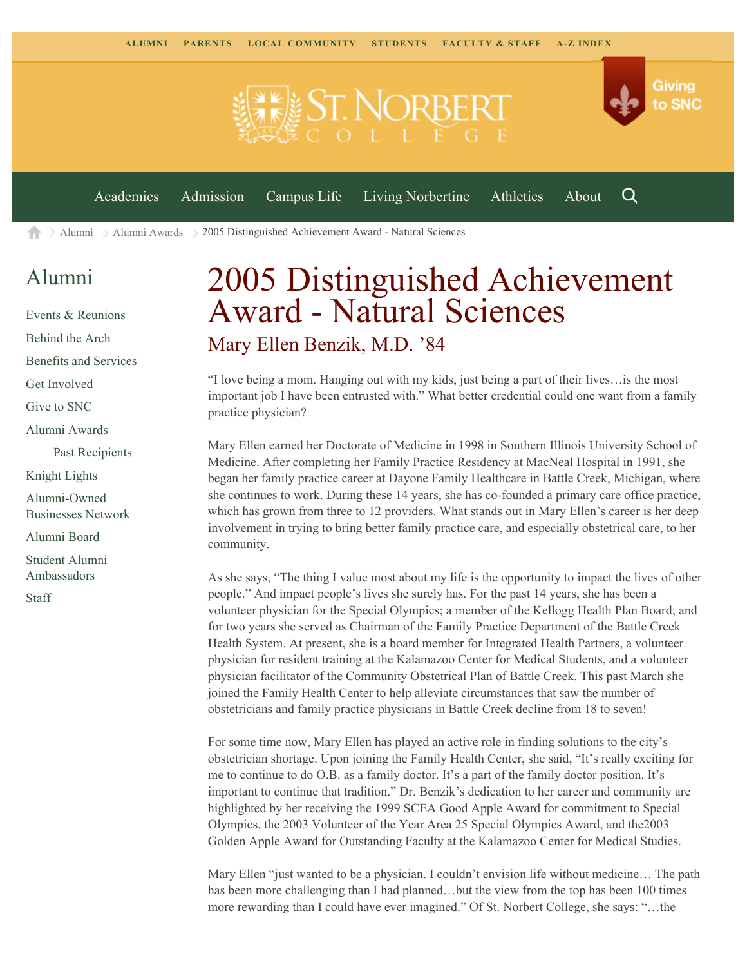

[Alumni](https://www.snc.edu/alumni/) [Alumni Awards](https://www.snc.edu/alumni/awards/) 2005 Distinguished Achievement Award - Natural Sciences A

## [Alumni](https://www.snc.edu/alumni/index.html)

[Events & Reunions](https://www.snc.edu/alumni/event/index.html) [Behind the Arch](https://www.snc.edu/alumni/event/behindthearch/) [Benefits and Services](https://www.snc.edu/alumni/benefits.html) [Get Involved](https://www.snc.edu/alumni/getinvolved.html) [Give to SNC](http://giving.snc.edu/) [Alumni Awards](https://www.snc.edu/alumni/awards/index.html) [Past Recipients](https://www.snc.edu/alumni/awards/recipients.html) [Knight Lights](https://www.snc.edu/alumni/knightlights/index.html) [Alumni-Owned](https://www.snc.edu/alumni/directory/index.html) [Businesses Network](https://www.snc.edu/alumni/directory/index.html) [Alumni Board](https://www.snc.edu/alumni/alumniboard.html) [Student Alumni](https://www.snc.edu/alumni/saa.html) [Ambassadors](https://www.snc.edu/alumni/saa.html) [Staff](https://www.snc.edu/alumni/contactus.html)

# 2005 Distinguished Achievement Award - Natural Sciences Mary Ellen Benzik, M.D. '84

"I love being a mom. Hanging out with my kids, just being a part of their lives…is the most important job I have been entrusted with." What better credential could one want from a family practice physician?

Mary Ellen earned her Doctorate of Medicine in 1998 in Southern Illinois University School of Medicine. After completing her Family Practice Residency at MacNeal Hospital in 1991, she began her family practice career at Dayone Family Healthcare in Battle Creek, Michigan, where she continues to work. During these 14 years, she has co-founded a primary care office practice, which has grown from three to 12 providers. What stands out in Mary Ellen's career is her deep involvement in trying to bring better family practice care, and especially obstetrical care, to her community.

As she says, "The thing I value most about my life is the opportunity to impact the lives of other people." And impact people's lives she surely has. For the past 14 years, she has been a volunteer physician for the Special Olympics; a member of the Kellogg Health Plan Board; and for two years she served as Chairman of the Family Practice Department of the Battle Creek Health System. At present, she is a board member for Integrated Health Partners, a volunteer physician for resident training at the Kalamazoo Center for Medical Students, and a volunteer physician facilitator of the Community Obstetrical Plan of Battle Creek. This past March she joined the Family Health Center to help alleviate circumstances that saw the number of obstetricians and family practice physicians in Battle Creek decline from 18 to seven!

For some time now, Mary Ellen has played an active role in finding solutions to the city's obstetrician shortage. Upon joining the Family Health Center, she said, "It's really exciting for me to continue to do O.B. as a family doctor. It's a part of the family doctor position. It's important to continue that tradition." Dr. Benzik's dedication to her career and community are highlighted by her receiving the 1999 SCEA Good Apple Award for commitment to Special Olympics, the 2003 Volunteer of the Year Area 25 Special Olympics Award, and the2003 Golden Apple Award for Outstanding Faculty at the Kalamazoo Center for Medical Studies.

Mary Ellen "just wanted to be a physician. I couldn't envision life without medicine… The path has been more challenging than I had planned…but the view from the top has been 100 times more rewarding than I could have ever imagined." Of St. Norbert College, she says: "…the